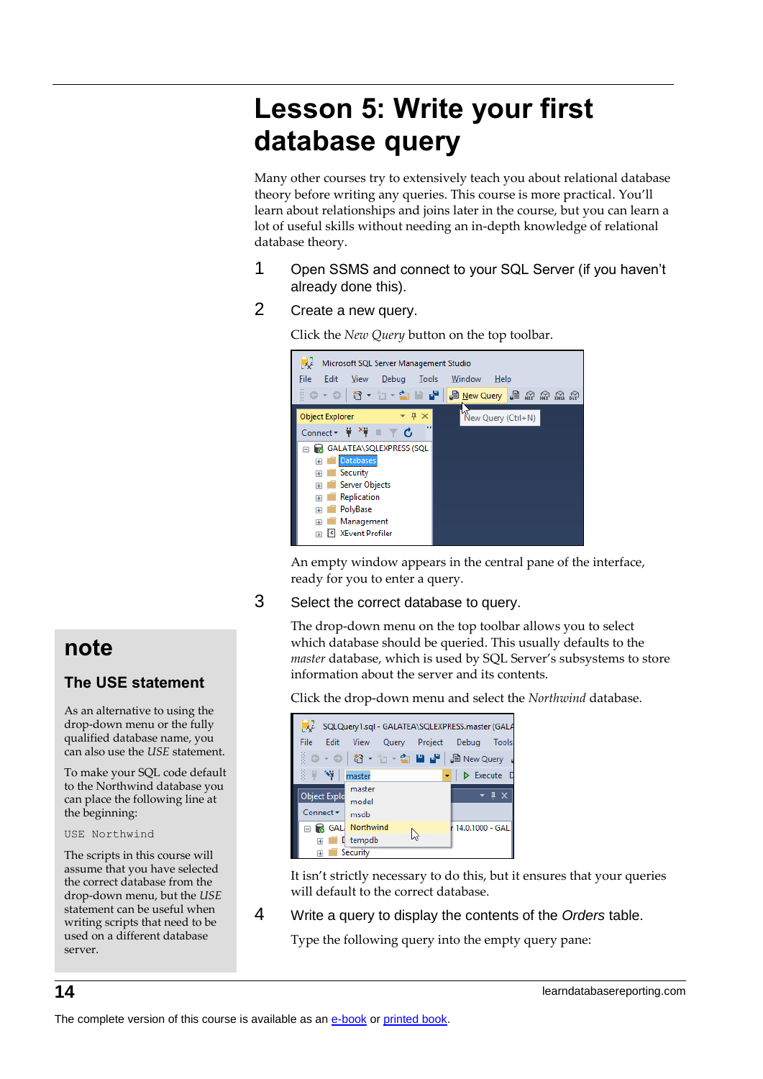# **Lesson 5: Write your first database query**

Many other courses try to extensively teach you about relational database theory before writing any queries. This course is more practical. You'll learn about relationships and joins later in the course, but you can learn a lot of useful skills without needing an in-depth knowledge of relational database theory.

- 1 Open SSMS and connect to your SQL Server (if you haven't already done this).
- 2 Create a new query.

Microsoft SQL Server Management Studio File Edit View Debug Tools Window Help ଁ ୦ - ୦ | ଅ - ଏ - ଏ ୮ <mark>୮</mark> । <mark>£ New Query </mark> ା *ଇ ଲ ଲ ଲ* 

Click the *New Query* button on the top toolbar.



An empty window appears in the central pane of the interface, ready for you to enter a query.

3 Select the correct database to query.

The drop-down menu on the top toolbar allows you to select which database should be queried. This usually defaults to the *master* database, which is used by SQL Server's subsystems to store information about the server and its contents.

Click the drop-down menu and select the *Northwind* database.

|                         | SQLQuery1.sql - GALATEA\SQLEXPRESS.master (GALA |                 |
|-------------------------|-------------------------------------------------|-----------------|
| File<br>Edit            | Query Project Debug<br><b>View</b>              | Tools           |
| â.<br>$O - O$           | │ 智 ー "□ ー ਹੈ ▄ ▄ ▄ ▒ │ ,⊜ New Query            |                 |
| ă.<br>$+$ $\rightarrow$ | master                                          | Execute         |
|                         | master                                          | $\sqrt{4}$      |
| <b>Object Explo</b>     | model                                           |                 |
| $Connect =$             | msdb                                            |                 |
|                         | <b>B</b> GAL Northwind                          | 14.0.1000 - GAL |
| $\overline{+}$          | [ tempdb                                        |                 |
| ஈ                       | Security                                        |                 |

It isn't strictly necessary to do this, but it ensures that your queries will default to the correct database.

4 Write a query to display the contents of the *Orders* table.

Type the following query into the empty query pane:

# **note**

### **The USE statement**

As an alternative to using the drop-down menu or the fully qualified database name, you can also use the *USE* statement.

To make your SQL code default to the Northwind database you can place the following line at the beginning:

#### USE Northwind

The scripts in this course will assume that you have selected the correct database from the drop-down menu, but the *USE* statement can be useful when writing scripts that need to be used on a different database server.